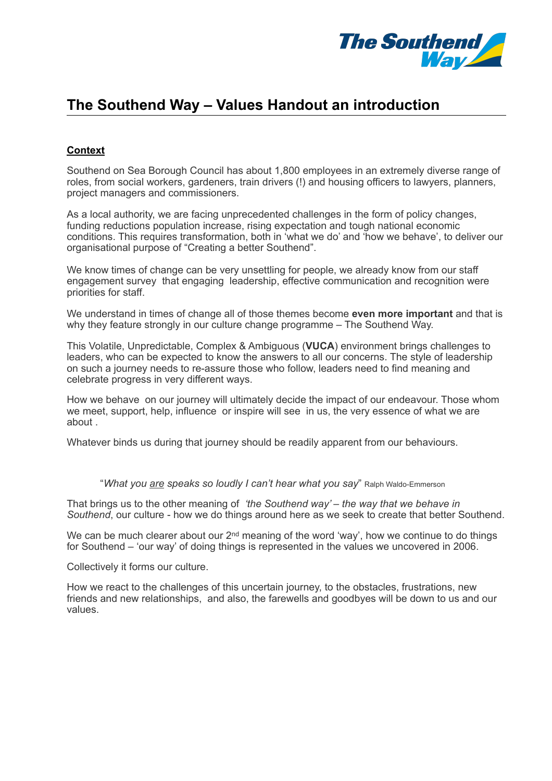

## **The Southend Way – Values Handout an introduction**

## **Context**

Southend on Sea Borough Council has about 1,800 employees in an extremely diverse range of roles, from social workers, gardeners, train drivers (!) and housing officers to lawyers, planners, project managers and commissioners.

As a local authority, we are facing unprecedented challenges in the form of policy changes, funding reductions population increase, rising expectation and tough national economic conditions. This requires transformation, both in 'what we do' and 'how we behave', to deliver our organisational purpose of "Creating a better Southend".

We know times of change can be very unsettling for people, we already know from our staff engagement survey that engaging leadership, effective communication and recognition were priorities for staff.

We understand in times of change all of those themes become **even more important** and that is why they feature strongly in our culture change programme – The Southend Way.

This Volatile, Unpredictable, Complex & Ambiguous (**VUCA**) environment brings challenges to leaders, who can be expected to know the answers to all our concerns. The style of leadership on such a journey needs to re-assure those who follow, leaders need to find meaning and celebrate progress in very different ways.

How we behave on our journey will ultimately decide the impact of our endeavour. Those whom we meet, support, help, influence or inspire will see in us, the very essence of what we are about .

Whatever binds us during that journey should be readily apparent from our behaviours.

"*What you are speaks so loudly I can't hear what you say*" Ralph Waldo-Emmerson

That brings us to the other meaning of *'the Southend way'* – *the way that we behave in Southend*, our culture - how we do things around here as we seek to create that better Southend.

We can be much clearer about our 2<sup>nd</sup> meaning of the word 'way', how we continue to do things for Southend – 'our way' of doing things is represented in the values we uncovered in 2006.

Collectively it forms our culture.

How we react to the challenges of this uncertain journey, to the obstacles, frustrations, new friends and new relationships, and also, the farewells and goodbyes will be down to us and our values.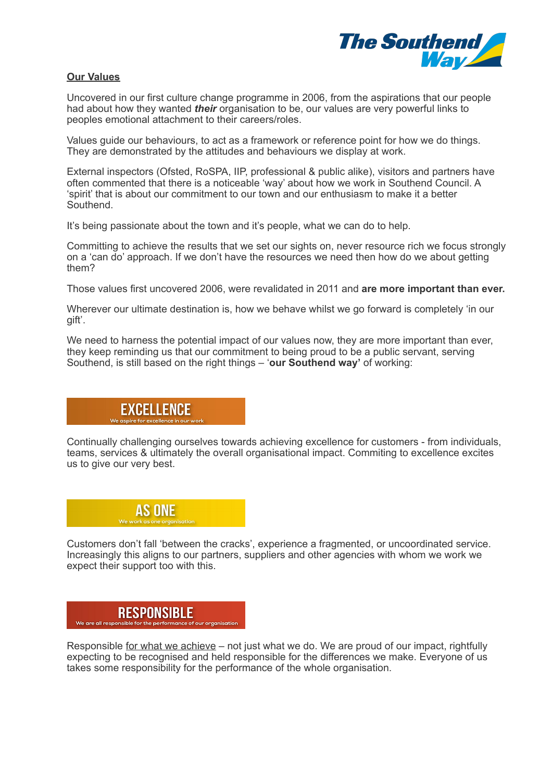

## **Our Values**

Uncovered in our first culture change programme in 2006, from the aspirations that our people had about how they wanted *their* organisation to be, our values are very powerful links to peoples emotional attachment to their careers/roles.

Values guide our behaviours, to act as a framework or reference point for how we do things. They are demonstrated by the attitudes and behaviours we display at work.

External inspectors (Ofsted, RoSPA, IIP, professional & public alike), visitors and partners have often commented that there is a noticeable 'way' about how we work in Southend Council. A 'spirit' that is about our commitment to our town and our enthusiasm to make it a better Southend.

It's being passionate about the town and it's people, what we can do to help.

Committing to achieve the results that we set our sights on, never resource rich we focus strongly on a 'can do' approach. If we don't have the resources we need then how do we about getting them?

Those values first uncovered 2006, were revalidated in 2011 and **are more important than ever.**

Wherever our ultimate destination is, how we behave whilst we go forward is completely 'in our gift'.

We need to harness the potential impact of our values now, they are more important than ever. they keep reminding us that our commitment to being proud to be a public servant, serving Southend, is still based on the right things – '**our Southend way'** of working:

#### EXCELLENCE  $We<sub>or</sub>$

Continually challenging ourselves towards achieving excellence for customers - from individuals, teams, services & ultimately the overall organisational impact. Commiting to excellence excites us to give our very best.

 $\mathbf{r}$ 

 $\overline{\phantom{a}}$ 

 $\mathbf{r}$ 



Customers don't fall 'between the cracks', experience a fragmented, or uncoordinated service. Increasingly this aligns to our partners, suppliers and other agencies with whom we work we expect their support too with this.

#### **RESPONSIBLE** We are all responsible for the performance of our organisation

Responsible for what we achieve – not just what we do. We are proud of our impact, rightfully expecting to be recognised and held responsible for the differences we make. Everyone of us takes some responsibility for the performance of the whole organisation.